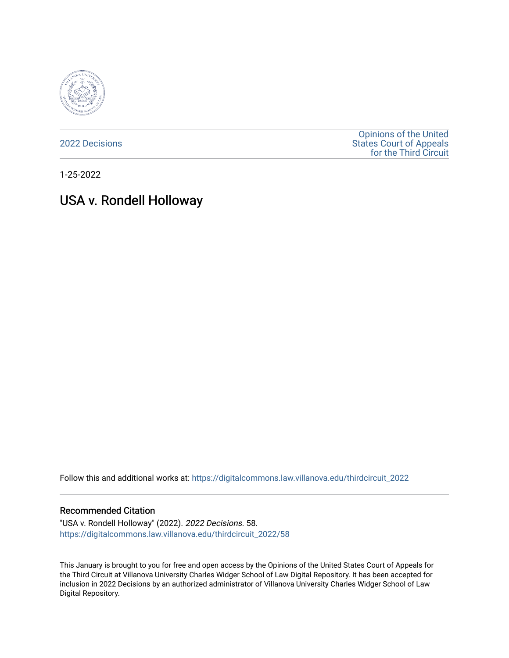

[2022 Decisions](https://digitalcommons.law.villanova.edu/thirdcircuit_2022)

[Opinions of the United](https://digitalcommons.law.villanova.edu/thirdcircuit)  [States Court of Appeals](https://digitalcommons.law.villanova.edu/thirdcircuit)  [for the Third Circuit](https://digitalcommons.law.villanova.edu/thirdcircuit) 

1-25-2022

# USA v. Rondell Holloway

Follow this and additional works at: [https://digitalcommons.law.villanova.edu/thirdcircuit\\_2022](https://digitalcommons.law.villanova.edu/thirdcircuit_2022?utm_source=digitalcommons.law.villanova.edu%2Fthirdcircuit_2022%2F58&utm_medium=PDF&utm_campaign=PDFCoverPages) 

## Recommended Citation

"USA v. Rondell Holloway" (2022). 2022 Decisions. 58. [https://digitalcommons.law.villanova.edu/thirdcircuit\\_2022/58](https://digitalcommons.law.villanova.edu/thirdcircuit_2022/58?utm_source=digitalcommons.law.villanova.edu%2Fthirdcircuit_2022%2F58&utm_medium=PDF&utm_campaign=PDFCoverPages)

This January is brought to you for free and open access by the Opinions of the United States Court of Appeals for the Third Circuit at Villanova University Charles Widger School of Law Digital Repository. It has been accepted for inclusion in 2022 Decisions by an authorized administrator of Villanova University Charles Widger School of Law Digital Repository.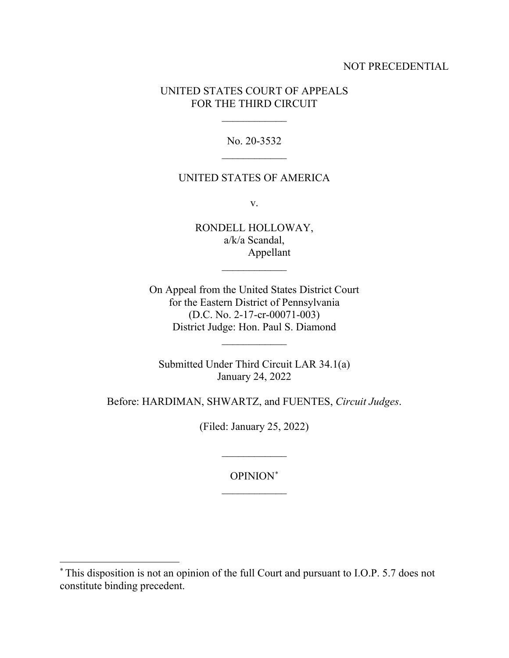## NOT PRECEDENTIAL

## UNITED STATES COURT OF APPEALS FOR THE THIRD CIRCUIT

 $\frac{1}{2}$ 

No. 20-3532  $\overline{\phantom{a}}$  , where  $\overline{\phantom{a}}$ 

## UNITED STATES OF AMERICA

v.

RONDELL HOLLOWAY, a/k/a Scandal, Appellant

 $\frac{1}{2}$ 

On Appeal from the United States District Court for the Eastern District of Pennsylvania (D.C. No. 2-17-cr-00071-003) District Judge: Hon. Paul S. Diamond

Submitted Under Third Circuit LAR 34.1(a) January 24, 2022

 $\frac{1}{2}$ 

Before: HARDIMAN, SHWARTZ, and FUENTES, *Circuit Judges*.

(Filed: January 25, 2022)

OPINION[\\*](#page-1-0)  $\frac{1}{2}$ 

 $\frac{1}{2}$ 

<span id="page-1-0"></span><sup>\*</sup> This disposition is not an opinion of the full Court and pursuant to I.O.P. 5.7 does not constitute binding precedent.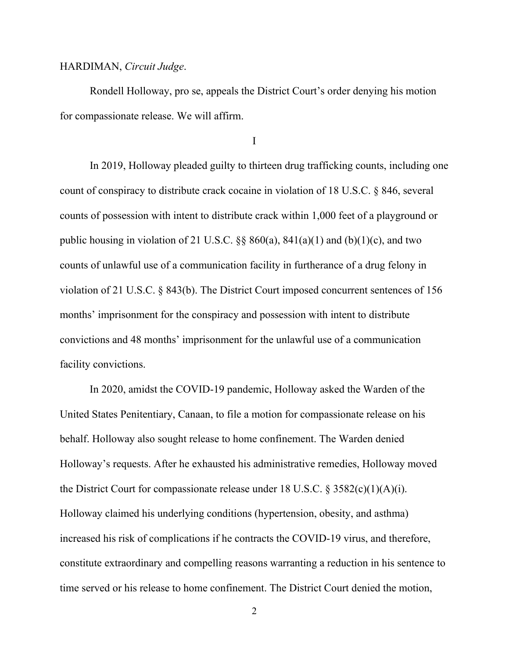#### HARDIMAN, *Circuit Judge*.

Rondell Holloway, pro se, appeals the District Court's order denying his motion for compassionate release. We will affirm.

I

In 2019, Holloway pleaded guilty to thirteen drug trafficking counts, including one count of conspiracy to distribute crack cocaine in violation of 18 U.S.C. § 846, several counts of possession with intent to distribute crack within 1,000 feet of a playground or public housing in violation of 21 U.S.C.  $\S$ § 860(a), 841(a)(1) and (b)(1)(c), and two counts of unlawful use of a communication facility in furtherance of a drug felony in violation of 21 U.S.C. § 843(b). The District Court imposed concurrent sentences of 156 months' imprisonment for the conspiracy and possession with intent to distribute convictions and 48 months' imprisonment for the unlawful use of a communication facility convictions.

In 2020, amidst the COVID-19 pandemic, Holloway asked the Warden of the United States Penitentiary, Canaan, to file a motion for compassionate release on his behalf. Holloway also sought release to home confinement. The Warden denied Holloway's requests. After he exhausted his administrative remedies, Holloway moved the District Court for compassionate release under 18 U.S.C.  $\S 3582(c)(1)(A)(i)$ . Holloway claimed his underlying conditions (hypertension, obesity, and asthma) increased his risk of complications if he contracts the COVID-19 virus, and therefore, constitute extraordinary and compelling reasons warranting a reduction in his sentence to time served or his release to home confinement. The District Court denied the motion,

2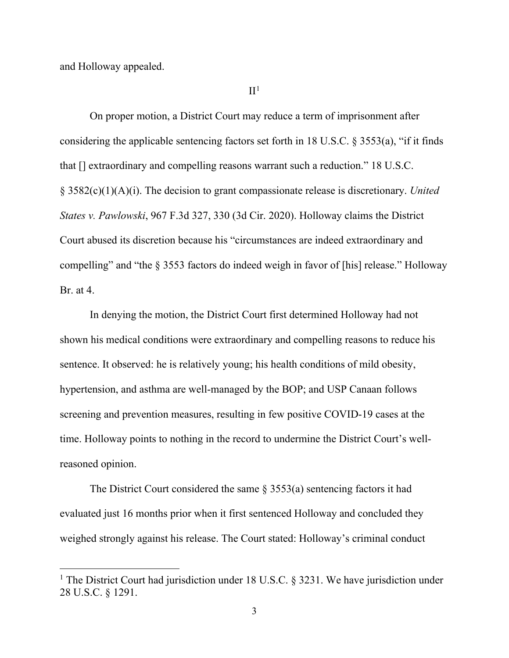and Holloway appealed.

#### $II<sup>1</sup>$  $II<sup>1</sup>$  $II<sup>1</sup>$

On proper motion, a District Court may reduce a term of imprisonment after considering the applicable sentencing factors set forth in 18 U.S.C. § 3553(a), "if it finds that [] extraordinary and compelling reasons warrant such a reduction." 18 U.S.C. § 3582(c)(1)(A)(i). The decision to grant compassionate release is discretionary. *United States v. Pawlowski*, 967 F.3d 327, 330 (3d Cir. 2020). Holloway claims the District Court abused its discretion because his "circumstances are indeed extraordinary and compelling" and "the § 3553 factors do indeed weigh in favor of [his] release." Holloway Br. at 4.

In denying the motion, the District Court first determined Holloway had not shown his medical conditions were extraordinary and compelling reasons to reduce his sentence. It observed: he is relatively young; his health conditions of mild obesity, hypertension, and asthma are well-managed by the BOP; and USP Canaan follows screening and prevention measures, resulting in few positive COVID-19 cases at the time. Holloway points to nothing in the record to undermine the District Court's wellreasoned opinion.

The District Court considered the same § 3553(a) sentencing factors it had evaluated just 16 months prior when it first sentenced Holloway and concluded they weighed strongly against his release. The Court stated: Holloway's criminal conduct

<span id="page-3-0"></span><sup>&</sup>lt;sup>1</sup> The District Court had jurisdiction under 18 U.S.C. § 3231. We have jurisdiction under 28 U.S.C. § 1291.